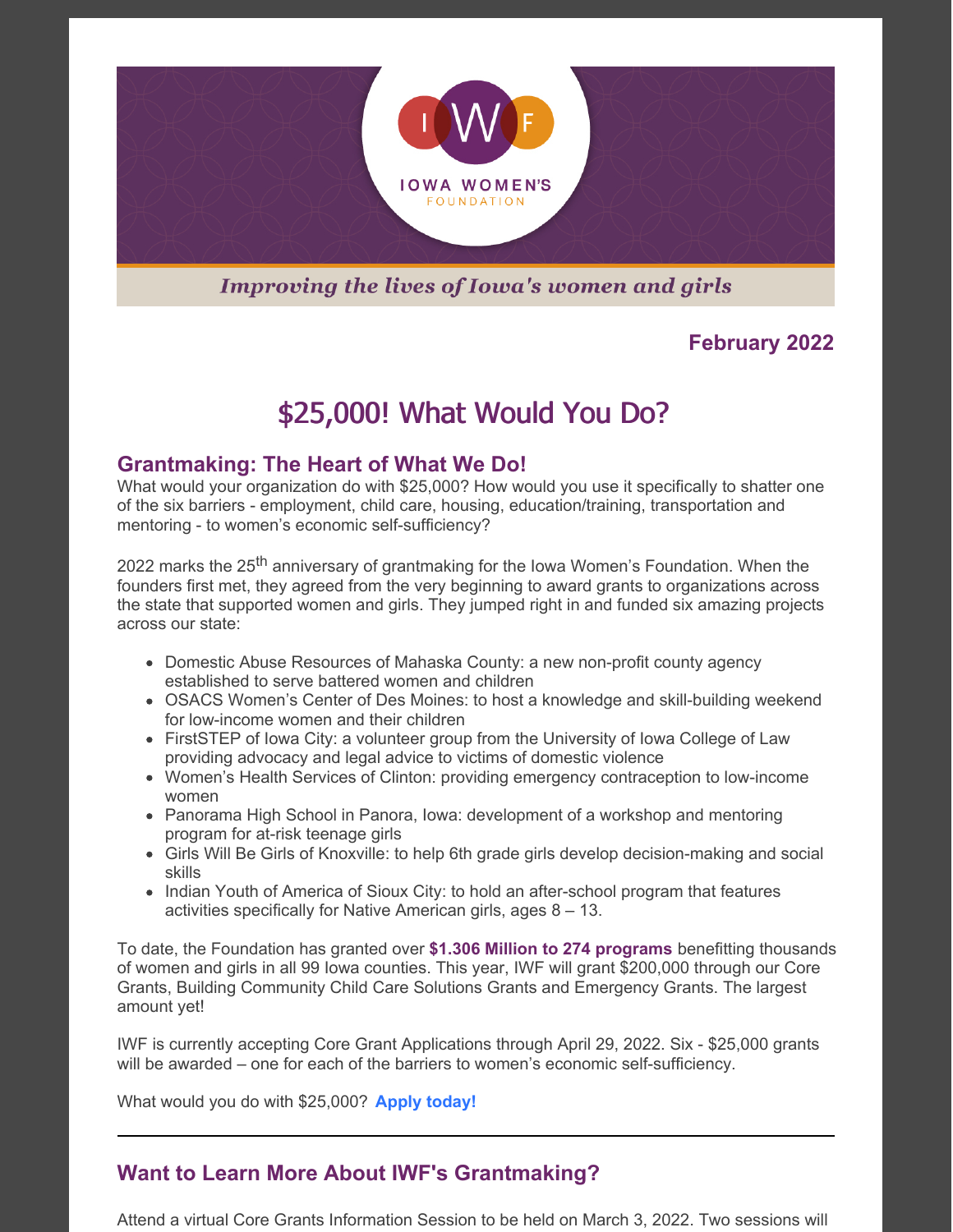

## **Improving the lives of Iowa's women and girls**

## **February 2022**

# \$25,000! What Would You Do?

### **Grantmaking: The Heart of What We Do!**

What would your organization do with \$25,000? How would you use it specifically to shatter one of the six barriers - employment, child care, housing, education/training, transportation and mentoring - to women's economic self-sufficiency?

2022 marks the 25<sup>th</sup> anniversary of grantmaking for the Iowa Women's Foundation. When the founders first met, they agreed from the very beginning to award grants to organizations across the state that supported women and girls. They jumped right in and funded six amazing projects across our state:

- Domestic Abuse Resources of Mahaska County: a new non-profit county agency established to serve battered women and children
- OSACS Women's Center of Des Moines: to host a knowledge and skill-building weekend for low-income women and their children
- FirstSTEP of lowa City: a volunteer group from the University of lowa College of Law providing advocacy and legal advice to victims of domestic violence
- Women's Health Services of Clinton: providing emergency contraception to low-income women
- Panorama High School in Panora, Iowa: development of a workshop and mentoring program for at-risk teenage girls
- Girls Will Be Girls of Knoxville: to help 6th grade girls develop decision-making and social skills
- Indian Youth of America of Sioux City: to hold an after-school program that features activities specifically for Native American girls, ages 8 – 13.

To date, the Foundation has granted over **\$1.306 Million to 274 programs** benefitting thousands of women and girls in all 99 Iowa counties. This year, IWF will grant \$200,000 through our Core Grants, Building Community Child Care Solutions Grants and Emergency Grants. The largest amount yet!

IWF is currently accepting Core Grant Applications through April 29, 2022. Six - \$25,000 grants will be awarded – one for each of the barriers to women's economic self-sufficiency.

What would you do with \$25,000? **Apply [today!](https://iawf.org/core-grants/)**

## **Want to Learn More About IWF's Grantmaking?**

Attend a virtual Core Grants Information Session to be held on March 3, 2022. Two sessions will